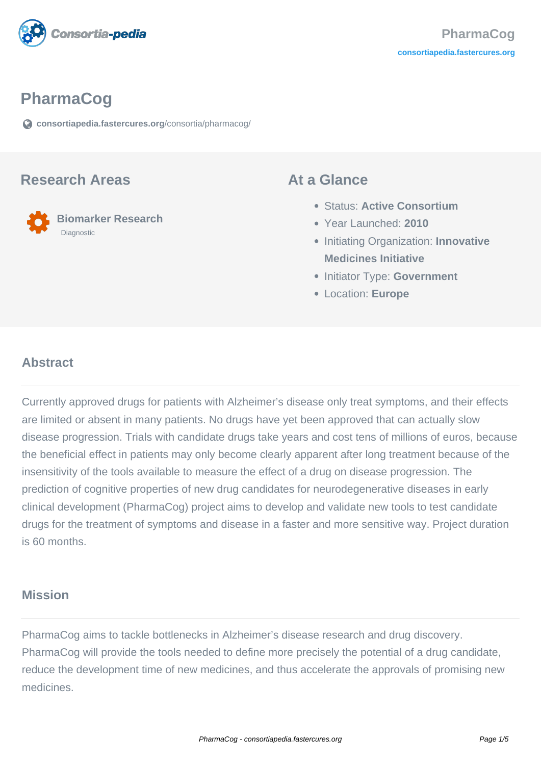

# **PharmaCog**

**[consortiapedia.fastercures.org](https://consortiapedia.fastercures.org/consortia/pharmacog/)**[/consortia/pharmacog/](https://consortiapedia.fastercures.org/consortia/pharmacog/)

#### **Research Areas**

 **Biomarker Research** Diagnostic

#### **At a Glance**

- Status: **Active Consortium**
- Year Launched: **2010**
- **Initiating Organization: Innovative Medicines Initiative**
- **Initiator Type: Government**
- Location: **Europe**

#### $\overline{a}$ **Abstract**

Currently approved drugs for patients with Alzheimer's disease only treat symptoms, and their effects are limited or absent in many patients. No drugs have yet been approved that can actually slow disease progression. Trials with candidate drugs take years and cost tens of millions of euros, because the beneficial effect in patients may only become clearly apparent after long treatment because of the insensitivity of the tools available to measure the effect of a drug on disease progression. The prediction of cognitive properties of new drug candidates for neurodegenerative diseases in early clinical development (PharmaCog) project aims to develop and validate new tools to test candidate drugs for the treatment of symptoms and disease in a faster and more sensitive way. Project duration is 60 months.

#### **Mission**

PharmaCog aims to tackle bottlenecks in Alzheimer's disease research and drug discovery. PharmaCog will provide the tools needed to define more precisely the potential of a drug candidate, reduce the development time of new medicines, and thus accelerate the approvals of promising new medicines.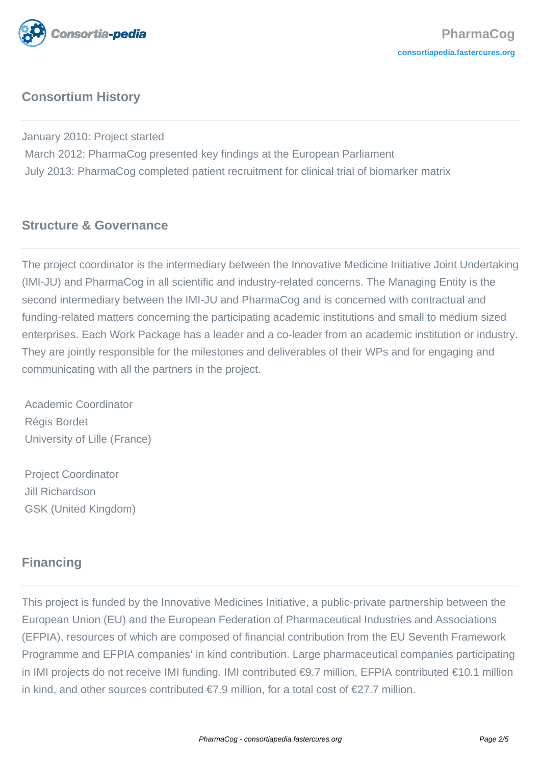

# **Consortium History**

January 2010: Project started March 2012: PharmaCog presented key findings at the European Parliament July 2013: PharmaCog completed patient recruitment for clinical trial of biomarker matrix

# **Structure & Governance**

The project coordinator is the intermediary between the Innovative Medicine Initiative Joint Undertaking (IMI-JU) and PharmaCog in all scientific and industry-related concerns. The Managing Entity is the second intermediary between the IMI-JU and PharmaCog and is concerned with contractual and funding-related matters concerning the participating academic institutions and small to medium sized enterprises. Each Work Package has a leader and a co-leader from an academic institution or industry. They are jointly responsible for the milestones and deliverables of their WPs and for engaging and communicating with all the partners in the project.

 Academic Coordinator Régis Bordet University of Lille (France)

 Project Coordinator Jill Richardson GSK (United Kingdom)

# **Financing**

This project is funded by the Innovative Medicines Initiative, a public-private partnership between the European Union (EU) and the European Federation of Pharmaceutical Industries and Associations (EFPIA), resources of which are composed of financial contribution from the EU Seventh Framework Programme and EFPIA companies' in kind contribution. Large pharmaceutical companies participating in IMI projects do not receive IMI funding. IMI contributed €9.7 million, EFPIA contributed €10.1 million in kind, and other sources contributed €7.9 million, for a total cost of €27.7 million.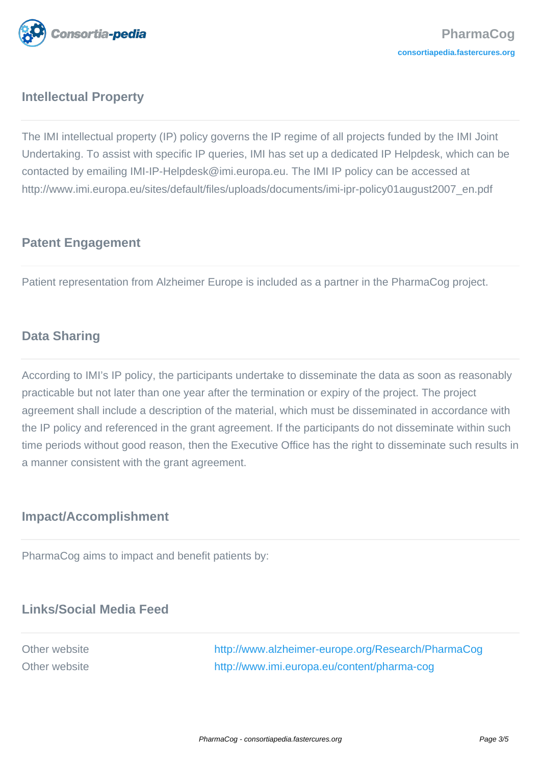

# **Intellectual Property**

The IMI intellectual property (IP) policy governs the IP regime of all projects funded by the IMI Joint Undertaking. To assist with specific IP queries, IMI has set up a dedicated IP Helpdesk, which can be contacted by emailing IMI-IP-Helpdesk@imi.europa.eu. The IMI IP policy can be accessed at http://www.imi.europa.eu/sites/default/files/uploads/documents/imi-ipr-policy01august2007\_en.pdf

#### **Patent Engagement**

Patient representation from Alzheimer Europe is included as a partner in the PharmaCog project.

#### **Data Sharing**

According to IMI's IP policy, the participants undertake to disseminate the data as soon as reasonably practicable but not later than one year after the termination or expiry of the project. The project agreement shall include a description of the material, which must be disseminated in accordance with the IP policy and referenced in the grant agreement. If the participants do not disseminate within such time periods without good reason, then the Executive Office has the right to disseminate such results in a manner consistent with the grant agreement.

# **Impact/Accomplishment**

PharmaCog aims to impact and benefit patients by:

# **Links/Social Media Feed**

Other website <http://www.alzheimer-europe.org/Research/PharmaCog> Other website <http://www.imi.europa.eu/content/pharma-cog>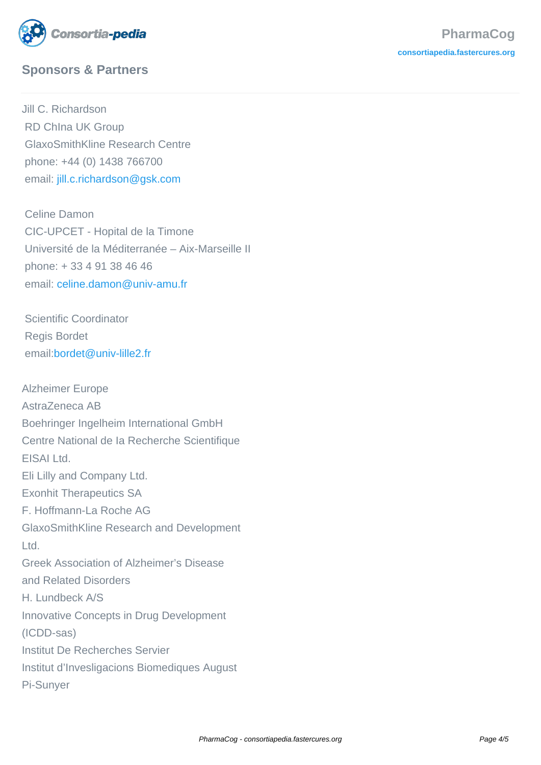

# **Sponsors & Partners**

Jill C. Richardson RD ChIna UK Group GlaxoSmithKline Research Centre phone: +44 (0) 1438 766700 email: [jill.c.richardson@gsk.com](mailto:jill.c.richardson@gsk.com)

 Celine Damon CIC-UPCET - Hopital de la Timone Université de la Méditerranée – Aix-Marseille II phone: + 33 4 91 38 46 46 email[: celine.damon@univ-amu.fr](mailto:celine.damon@univ-amu.fr)

 Scientific Coordinator Regis Bordet email[:bordet@univ-lille2.fr](mailto:bordet@univ-lille2.fr)

Alzheimer Europe AstraZeneca AB Boehringer Ingelheim International GmbH Centre National de Ia Recherche Scientifique EISAI Ltd. Eli Lilly and Company Ltd. Exonhit Therapeutics SA F. Hoffmann-La Roche AG GlaxoSmithKline Research and Development Ltd. Greek Association of Alzheimer's Disease and Related Disorders H. Lundbeck A/S Innovative Concepts in Drug Development (ICDD-sas) Institut De Recherches Servier Institut d'Invesligacions Biomediques August Pi-Sunyer